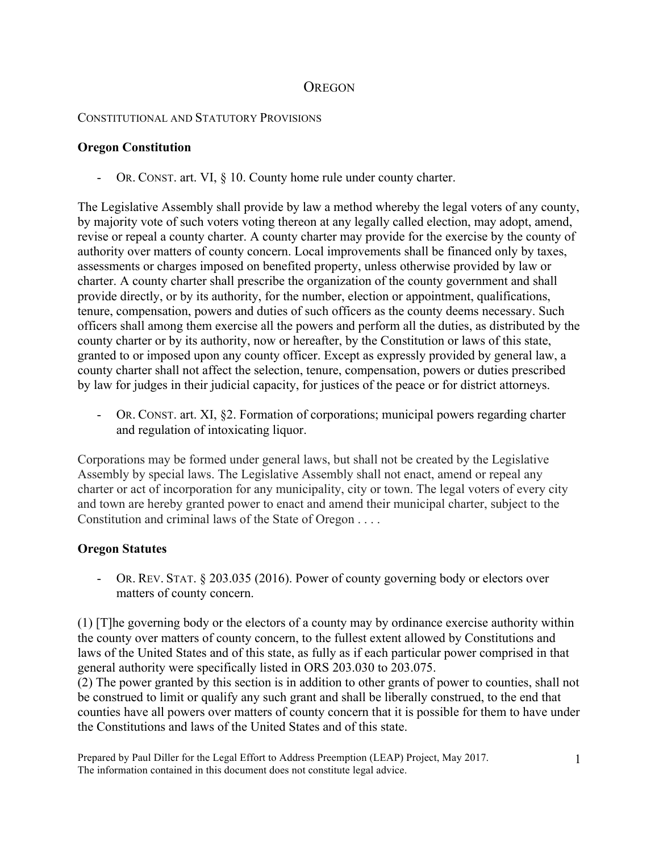# **OREGON**

### CONSTITUTIONAL AND STATUTORY PROVISIONS

## **Oregon Constitution**

OR. CONST. art. VI, § 10. County home rule under county charter.

The Legislative Assembly shall provide by law a method whereby the legal voters of any county, by majority vote of such voters voting thereon at any legally called election, may adopt, amend, revise or repeal a county charter. A county charter may provide for the exercise by the county of authority over matters of county concern. Local improvements shall be financed only by taxes, assessments or charges imposed on benefited property, unless otherwise provided by law or charter. A county charter shall prescribe the organization of the county government and shall provide directly, or by its authority, for the number, election or appointment, qualifications, tenure, compensation, powers and duties of such officers as the county deems necessary. Such officers shall among them exercise all the powers and perform all the duties, as distributed by the county charter or by its authority, now or hereafter, by the Constitution or laws of this state, granted to or imposed upon any county officer. Except as expressly provided by general law, a county charter shall not affect the selection, tenure, compensation, powers or duties prescribed by law for judges in their judicial capacity, for justices of the peace or for district attorneys.

- OR. CONST. art. XI, §2. Formation of corporations; municipal powers regarding charter and regulation of intoxicating liquor.

Corporations may be formed under general laws, but shall not be created by the Legislative Assembly by special laws. The Legislative Assembly shall not enact, amend or repeal any charter or act of incorporation for any municipality, city or town. The legal voters of every city and town are hereby granted power to enact and amend their municipal charter, subject to the Constitution and criminal laws of the State of Oregon . . . .

# **Oregon Statutes**

- OR. REV. STAT. § 203.035 (2016). Power of county governing body or electors over matters of county concern.

(1) [T]he governing body or the electors of a county may by ordinance exercise authority within the county over matters of county concern, to the fullest extent allowed by Constitutions and laws of the United States and of this state, as fully as if each particular power comprised in that general authority were specifically listed in ORS 203.030 to 203.075.

(2) The power granted by this section is in addition to other grants of power to counties, shall not be construed to limit or qualify any such grant and shall be liberally construed, to the end that counties have all powers over matters of county concern that it is possible for them to have under the Constitutions and laws of the United States and of this state.

Prepared by Paul Diller for the Legal Effort to Address Preemption (LEAP) Project, May 2017. The information contained in this document does not constitute legal advice.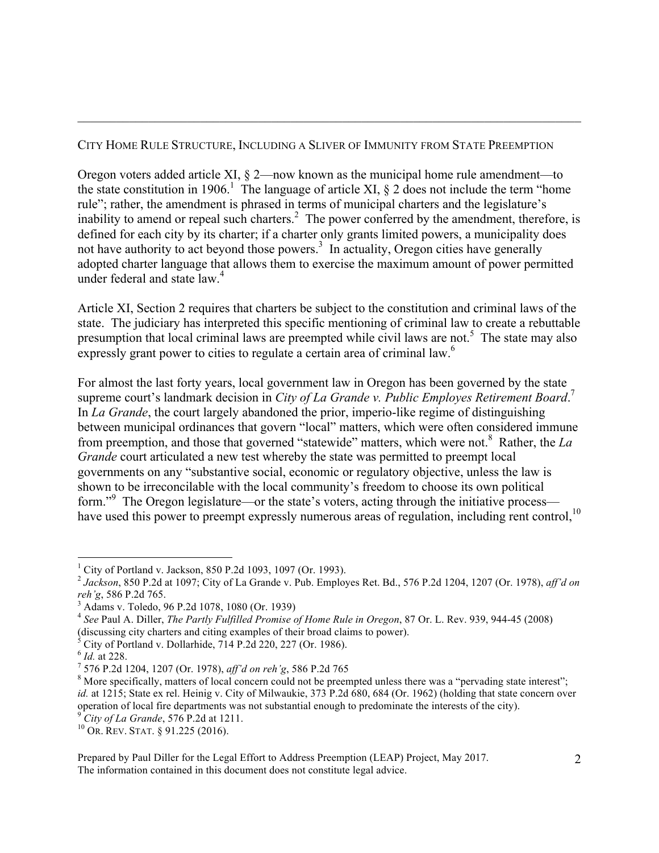CITY HOME RULE STRUCTURE, INCLUDING A SLIVER OF IMMUNITY FROM STATE PREEMPTION

 $\mathcal{L}_\mathcal{L} = \{ \mathcal{L}_\mathcal{L} = \{ \mathcal{L}_\mathcal{L} = \{ \mathcal{L}_\mathcal{L} = \{ \mathcal{L}_\mathcal{L} = \{ \mathcal{L}_\mathcal{L} = \{ \mathcal{L}_\mathcal{L} = \{ \mathcal{L}_\mathcal{L} = \{ \mathcal{L}_\mathcal{L} = \{ \mathcal{L}_\mathcal{L} = \{ \mathcal{L}_\mathcal{L} = \{ \mathcal{L}_\mathcal{L} = \{ \mathcal{L}_\mathcal{L} = \{ \mathcal{L}_\mathcal{L} = \{ \mathcal{L}_\mathcal{$ 

Oregon voters added article XI, § 2—now known as the municipal home rule amendment—to the state constitution in 1906.<sup>1</sup> The language of article XI,  $\S$  2 does not include the term "home" rule"; rather, the amendment is phrased in terms of municipal charters and the legislature's inability to amend or repeal such charters.<sup>2</sup> The power conferred by the amendment, therefore, is defined for each city by its charter; if a charter only grants limited powers, a municipality does not have authority to act beyond those powers.<sup>3</sup> In actuality, Oregon cities have generally adopted charter language that allows them to exercise the maximum amount of power permitted under federal and state law. 4

Article XI, Section 2 requires that charters be subject to the constitution and criminal laws of the state. The judiciary has interpreted this specific mentioning of criminal law to create a rebuttable presumption that local criminal laws are preempted while civil laws are not.<sup>5</sup> The state may also expressly grant power to cities to regulate a certain area of criminal law.<sup>6</sup>

For almost the last forty years, local government law in Oregon has been governed by the state supreme court's landmark decision in *City of La Grande v. Public Employes Retirement Board*. 7 In *La Grande*, the court largely abandoned the prior, imperio-like regime of distinguishing between municipal ordinances that govern "local" matters, which were often considered immune from preemption, and those that governed "statewide" matters, which were not.<sup>8</sup> Rather, the *La Grande* court articulated a new test whereby the state was permitted to preempt local governments on any "substantive social, economic or regulatory objective, unless the law is shown to be irreconcilable with the local community's freedom to choose its own political form."<sup>9</sup> The Oregon legislature—or the state's voters, acting through the initiative process have used this power to preempt expressly numerous areas of regulation, including rent control,<sup>10</sup>

 $\frac{1}{1}$  $^{1}$  City of Portland v. Jackson, 850 P.2d 1093, 1097 (Or. 1993).

<sup>2</sup> *Jackson*, 850 P.2d at 1097; City of La Grande v. Pub. Employes Ret. Bd., 576 P.2d 1204, 1207 (Or. 1978), *aff'd on reh'g*, 586 P.2d 765. <sup>3</sup> Adams v. Toledo, 96 P.2d 1078, 1080 (Or. 1939) <sup>4</sup> *See* Paul A. Diller, *The Partly Fulfilled Promise of Home Rule in Oregon*, 87 Or. L. Rev. 939, 944-45 (2008)

<sup>(</sup>discussing city charters and citing examples of their broad claims to power). 5 City of Portland v. Dollarhide, 714 P.2d 220, 227 (Or. 1986).

<sup>6</sup> *Id.* at 228. <sup>7</sup>

 <sup>576</sup> P.2d 1204, 1207 (Or. 1978), *aff'd on reh'g*, 586 P.2d 765 <sup>8</sup>

<sup>&</sup>lt;sup>8</sup> More specifically, matters of local concern could not be preempted unless there was a "pervading state interest"; *id.* at 1215; State ex rel. Heinig v. City of Milwaukie, 373 P.2d 680, 684 (Or. 1962) (holding that state concern over operation of local fire departments was not substantial enough to predominate the interests of the city).<br><sup>9</sup> *City of La Grande*, 576 P.2d at 1211.<br><sup>10</sup> OR. REV. STAT. § 91.225 (2016).

Prepared by Paul Diller for the Legal Effort to Address Preemption (LEAP) Project, May 2017. The information contained in this document does not constitute legal advice.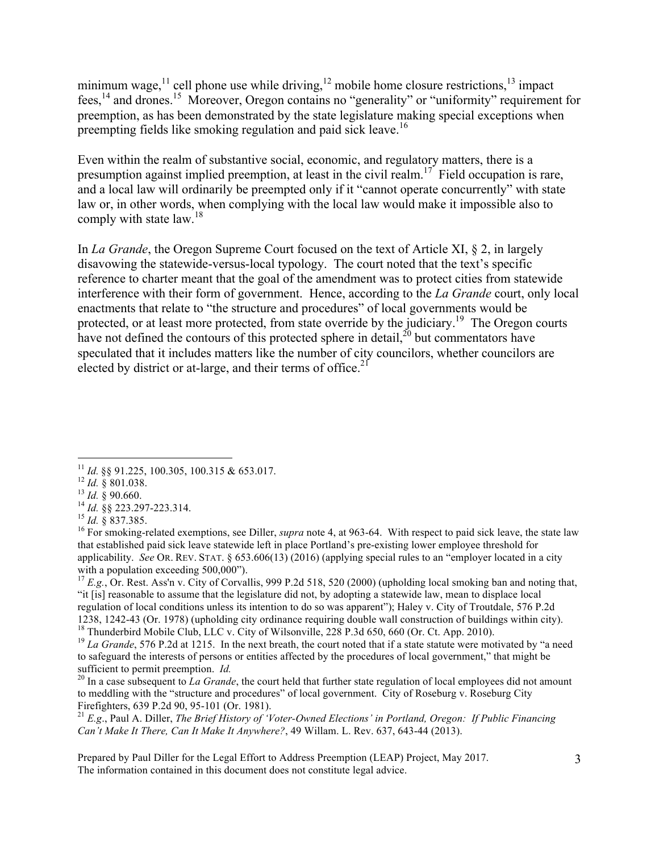minimum wage, $^{11}$  cell phone use while driving, $^{12}$  mobile home closure restrictions, $^{13}$  impact fees,14 and drones.15 Moreover, Oregon contains no "generality" or "uniformity" requirement for preemption, as has been demonstrated by the state legislature making special exceptions when preempting fields like smoking regulation and paid sick leave.<sup>16</sup>

Even within the realm of substantive social, economic, and regulatory matters, there is a presumption against implied preemption, at least in the civil realm.<sup>17</sup> Field occupation is rare, and a local law will ordinarily be preempted only if it "cannot operate concurrently" with state law or, in other words, when complying with the local law would make it impossible also to comply with state  $law.<sup>18</sup>$ 

In *La Grande*, the Oregon Supreme Court focused on the text of Article XI, § 2, in largely disavowing the statewide-versus-local typology. The court noted that the text's specific reference to charter meant that the goal of the amendment was to protect cities from statewide interference with their form of government. Hence, according to the *La Grande* court, only local enactments that relate to "the structure and procedures" of local governments would be protected, or at least more protected, from state override by the judiciary.<sup>19</sup> The Oregon courts have not defined the contours of this protected sphere in detail, $^{20}$  but commentators have speculated that it includes matters like the number of city councilors, whether councilors are elected by district or at-large, and their terms of office.<sup>21</sup>

<sup>17</sup> E.g., Or. Rest. Ass'n v. City of Corvallis, 999 P.2d 518, 520 (2000) (upholding local smoking ban and noting that, "it [is] reasonable to assume that the legislature did not, by adopting a statewide law, mean to displace local regulation of local conditions unless its intention to do so was apparent"); Haley v. City of Troutdale, 576 P.2d 1238, 1242-43 (Or. 1978) (upholding city ordinance requiring double wall construction of buildings within ci

<sup>18</sup> Thunderbird Mobile Club, LLC v. City of Wilsonville, 228 P.3d 650, 660 (Or. Ct. App. 2010).<br><sup>19</sup> *La Grande*, 576 P.2d at 1215. In the next breath, the court noted that if a state statute were motivated by "a need to safeguard the interests of persons or entities affected by the procedures of local government," that might be sufficient to permit preemption. *Id.*<br><sup>20</sup> In a case subsequent to *La Grande*, the court held that further state regulation of local employees did not amount

to meddling with the "structure and procedures" of local government. City of Roseburg v. Roseburg City Firefighters, 639 P.2d 90, 95-101 (Or. 1981).

<sup>21</sup> E.g., Paul A. Diller, *The Brief History of 'Voter-Owned Elections' in Portland, Oregon: If Public Financing Can't Make It There, Can It Make It Anywhere?*, 49 Willam. L. Rev. 637, 643-44 (2013).

Prepared by Paul Diller for the Legal Effort to Address Preemption (LEAP) Project, May 2017. The information contained in this document does not constitute legal advice.

<sup>&</sup>lt;sup>11</sup> *Id.* §§ 91.225, 100.305, 100.315 & 653.017.<br><sup>12</sup> *Id.* § 801.038.<br><sup>13</sup> *Id.* § 90.660.<br><sup>14</sup> *Id.* §§ 223.297-223.314.<br><sup>15</sup> *Id.* § 837.385.<br><sup>15</sup> *Id.* § 837.385. that established paid sick leave statewide left in place Portland's pre-existing lower employee threshold for applicability. *See* OR. REV. STAT. § 653.606(13) (2016) (applying special rules to an "employer located in a city with a population exceeding 500,000").